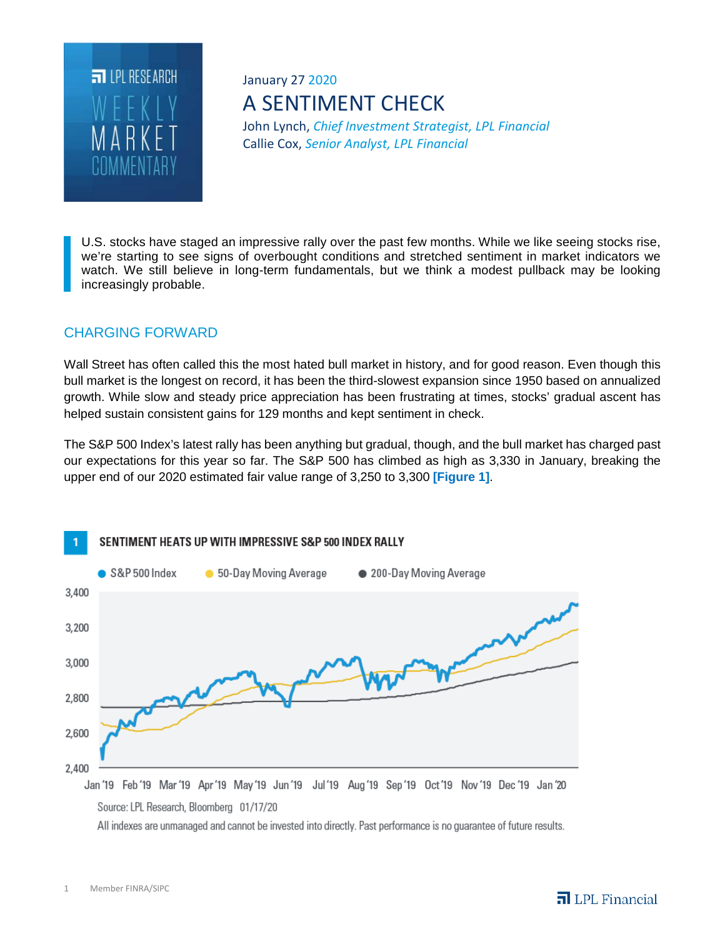

# January 27 2020 A SENTIMENT CHECK

John Lynch, *Chief Investment Strategist, LPL Financial* Callie Cox, *Senior Analyst, LPL Financial*

U.S. stocks have staged an impressive rally over the past few months. While we like seeing stocks rise, we're starting to see signs of overbought conditions and stretched sentiment in market indicators we watch. We still believe in long-term fundamentals, but we think a modest pullback may be looking increasingly probable.

# CHARGING FORWARD

Wall Street has often called this the most hated bull market in history, and for good reason. Even though this bull market is the longest on record, it has been the third-slowest expansion since 1950 based on annualized growth. While slow and steady price appreciation has been frustrating at times, stocks' gradual ascent has helped sustain consistent gains for 129 months and kept sentiment in check.

The S&P 500 Index's latest rally has been anything but gradual, though, and the bull market has charged past our expectations for this year so far. The S&P 500 has climbed as high as 3,330 in January, breaking the upper end of our 2020 estimated fair value range of 3,250 to 3,300 **[Figure 1]**.



Source: LPL Research, Bloomberg 01/17/20

All indexes are unmanaged and cannot be invested into directly. Past performance is no guarantee of future results.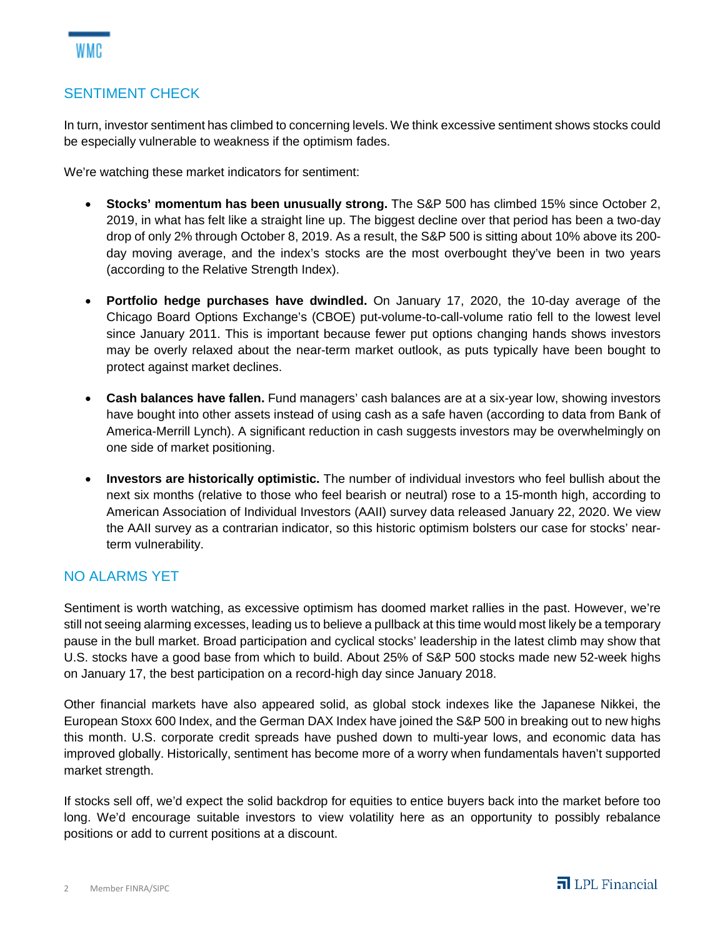## SENTIMENT CHECK

In turn, investor sentiment has climbed to concerning levels. We think excessive sentiment shows stocks could be especially vulnerable to weakness if the optimism fades.

We're watching these market indicators for sentiment:

- **Stocks' momentum has been unusually strong.** The S&P 500 has climbed 15% since October 2, 2019, in what has felt like a straight line up. The biggest decline over that period has been a two-day drop of only 2% through October 8, 2019. As a result, the S&P 500 is sitting about 10% above its 200 day moving average, and the index's stocks are the most overbought they've been in two years (according to the Relative Strength Index).
- **Portfolio hedge purchases have dwindled.** On January 17, 2020, the 10-day average of the Chicago Board Options Exchange's (CBOE) put-volume-to-call-volume ratio fell to the lowest level since January 2011. This is important because fewer put options changing hands shows investors may be overly relaxed about the near-term market outlook, as puts typically have been bought to protect against market declines.
- **Cash balances have fallen.** Fund managers' cash balances are at a six-year low, showing investors have bought into other assets instead of using cash as a safe haven (according to data from Bank of America-Merrill Lynch). A significant reduction in cash suggests investors may be overwhelmingly on one side of market positioning.
- **Investors are historically optimistic.** The number of individual investors who feel bullish about the next six months (relative to those who feel bearish or neutral) rose to a 15-month high, according to American Association of Individual Investors (AAII) survey data released January 22, 2020. We view the AAII survey as a contrarian indicator, so this historic optimism bolsters our case for stocks' nearterm vulnerability.

#### NO ALARMS YET

Sentiment is worth watching, as excessive optimism has doomed market rallies in the past. However, we're still not seeing alarming excesses, leading us to believe a pullback at this time would most likely be a temporary pause in the bull market. Broad participation and cyclical stocks' leadership in the latest climb may show that U.S. stocks have a good base from which to build. About 25% of S&P 500 stocks made new 52-week highs on January 17, the best participation on a record-high day since January 2018.

Other financial markets have also appeared solid, as global stock indexes like the Japanese Nikkei, the European Stoxx 600 Index, and the German DAX Index have joined the S&P 500 in breaking out to new highs this month. U.S. corporate credit spreads have pushed down to multi-year lows, and economic data has improved globally. Historically, sentiment has become more of a worry when fundamentals haven't supported market strength.

If stocks sell off, we'd expect the solid backdrop for equities to entice buyers back into the market before too long. We'd encourage suitable investors to view volatility here as an opportunity to possibly rebalance positions or add to current positions at a discount.

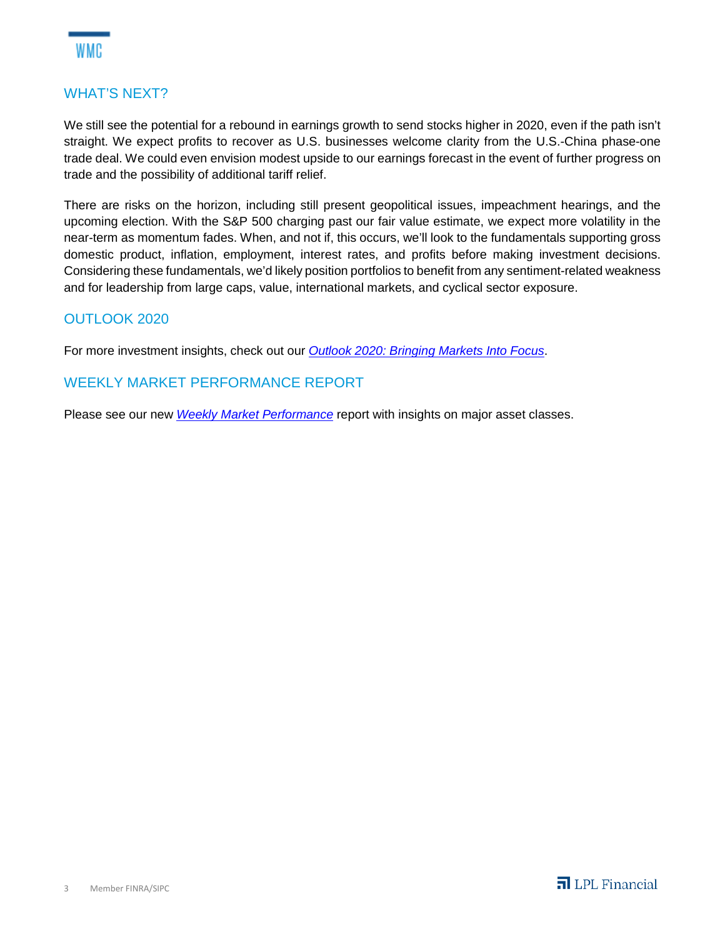

### WHAT'S NEXT?

We still see the potential for a rebound in earnings growth to send stocks higher in 2020, even if the path isn't straight. We expect profits to recover as U.S. businesses welcome clarity from the U.S.-China phase-one trade deal. We could even envision modest upside to our earnings forecast in the event of further progress on trade and the possibility of additional tariff relief.

There are risks on the horizon, including still present geopolitical issues, impeachment hearings, and the upcoming election. With the S&P 500 charging past our fair value estimate, we expect more volatility in the near-term as momentum fades. When, and not if, this occurs, we'll look to the fundamentals supporting gross domestic product, inflation, employment, interest rates, and profits before making investment decisions. Considering these fundamentals, we'd likely position portfolios to benefit from any sentiment-related weakness and for leadership from large caps, value, international markets, and cyclical sector exposure.

#### OUTLOOK 2020

For more investment insights, check out our *Outlook 2020: Bringing Markets Into Focus*.

#### WEEKLY MARKET PERFORMANCE REPORT

Please see our new *Weekly Market Performance* report with insights on major asset classes.